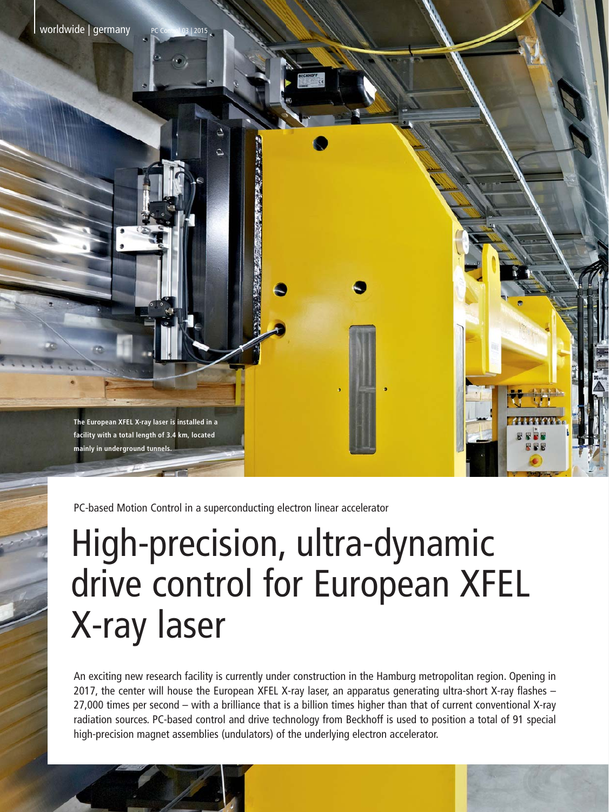**The European XFEL X-ray laser is installed in a facility with a total length of 3.4 km, located mainly in underground tunnels.**

PC-based Motion Control in a superconducting electron linear accelerator

## High-precision, ultra-dynamic drive control for European XFEL X-ray laser

An exciting new research facility is currently under construction in the Hamburg metropolitan region. Opening in 2017, the center will house the European XFEL X-ray laser, an apparatus generating ultra-short X-ray flashes – 27,000 times per second – with a brilliance that is a billion times higher than that of current conventional X-ray radiation sources. PC-based control and drive technology from Beckhoff is used to position a total of 91 special high-precision magnet assemblies (undulators) of the underlying electron accelerator.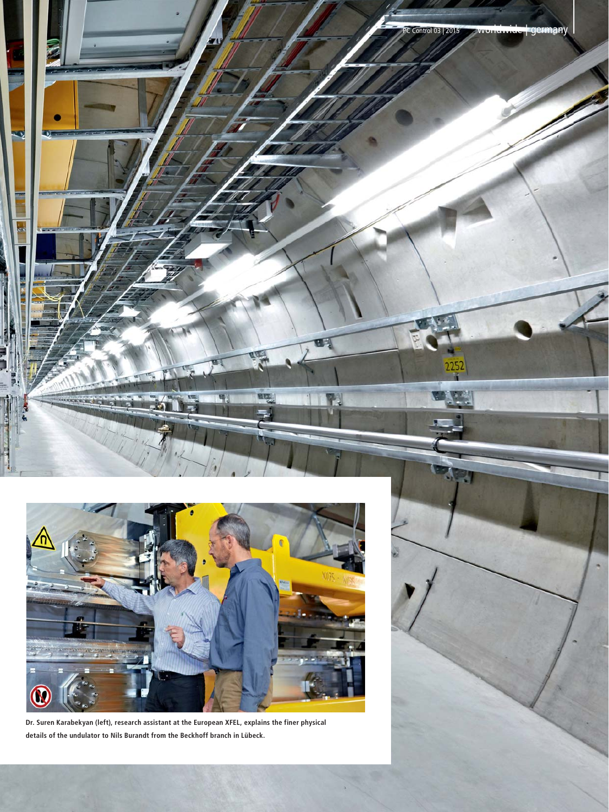



**Dr. Suren Karabekyan (left), research assistant at the European XFEL, explains the finer physical details of the undulator to Nils Burandt from the Beckhoff branch in Lübeck.**

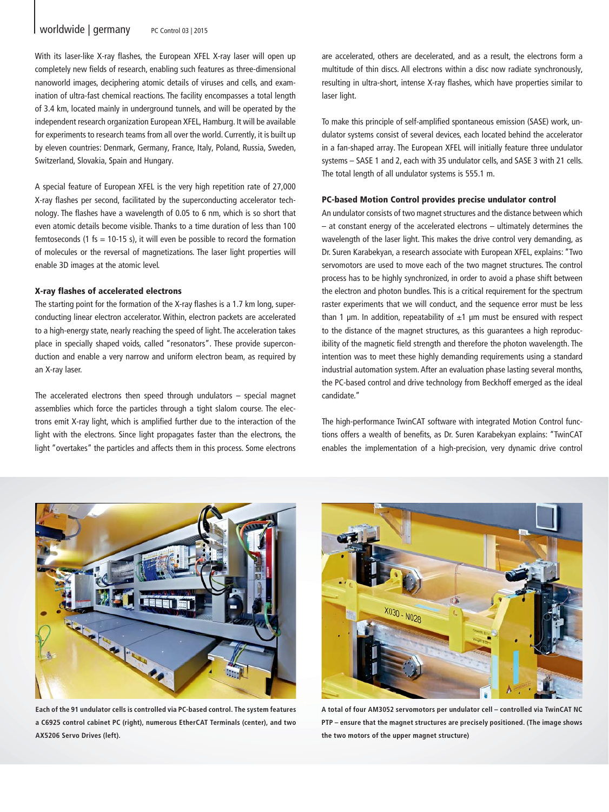With its laser-like X-ray flashes, the European XFEL X-ray laser will open up completely new fields of research, enabling such features as three-dimensional nanoworld images, deciphering atomic details of viruses and cells, and examination of ultra-fast chemical reactions. The facility encompasses a total length of 3.4 km, located mainly in underground tunnels, and will be operated by the independent research organization European XFEL, Hamburg. It will be available for experiments to research teams from all over the world. Currently, it is built up by eleven countries: Denmark, Germany, France, Italy, Poland, Russia, Sweden, Switzerland, Slovakia, Spain and Hungary.

A special feature of European XFEL is the very high repetition rate of 27,000 X-ray flashes per second, facilitated by the superconducting accelerator technology. The flashes have a wavelength of 0.05 to 6 nm, which is so short that even atomic details become visible. Thanks to a time duration of less than 100 femtoseconds (1 fs = 10-15 s), it will even be possible to record the formation of molecules or the reversal of magnetizations. The laser light properties will enable 3D images at the atomic level.

## X-ray flashes of accelerated electrons

The starting point for the formation of the X-ray flashes is a 1.7 km long, superconducting linear electron accelerator. Within, electron packets are accelerated to a high-energy state, nearly reaching the speed of light. The acceleration takes place in specially shaped voids, called "resonators". These provide superconduction and enable a very narrow and uniform electron beam, as required by an X-ray laser.

The accelerated electrons then speed through undulators – special magnet assemblies which force the particles through a tight slalom course. The electrons emit X-ray light, which is amplified further due to the interaction of the light with the electrons. Since light propagates faster than the electrons, the light "overtakes" the particles and affects them in this process. Some electrons are accelerated, others are decelerated, and as a result, the electrons form a multitude of thin discs. All electrons within a disc now radiate synchronously, resulting in ultra-short, intense X-ray flashes, which have properties similar to laser light.

To make this principle of self-amplified spontaneous emission (SASE) work, undulator systems consist of several devices, each located behind the accelerator in a fan-shaped array. The European XFEL will initially feature three undulator systems – SASE 1 and 2, each with 35 undulator cells, and SASE 3 with 21 cells. The total length of all undulator systems is 555.1 m.

## PC-based Motion Control provides precise undulator control

An undulator consists of two magnet structures and the distance between which – at constant energy of the accelerated electrons – ultimately determines the wavelength of the laser light. This makes the drive control very demanding, as Dr. Suren Karabekyan, a research associate with European XFEL, explains: "Two servomotors are used to move each of the two magnet structures. The control process has to be highly synchronized, in order to avoid a phase shift between the electron and photon bundles. This is a critical requirement for the spectrum raster experiments that we will conduct, and the sequence error must be less than 1  $\mu$ m. In addition, repeatability of  $\pm$ 1  $\mu$ m must be ensured with respect to the distance of the magnet structures, as this guarantees a high reproducibility of the magnetic field strength and therefore the photon wavelength. The intention was to meet these highly demanding requirements using a standard industrial automation system. After an evaluation phase lasting several months, the PC-based control and drive technology from Beckhoff emerged as the ideal candidate."

The high-performance TwinCAT software with integrated Motion Control functions offers a wealth of benefits, as Dr. Suren Karabekyan explains: "TwinCAT enables the implementation of a high-precision, very dynamic drive control



**Each of the 91 undulator cells is controlled via PC-based control. The system features a C6925 control cabinet PC (right), numerous EtherCAT Terminals (center), and two AX5206 Servo Drives (left).**



**A total of four AM3052 servomotors per undulator cell – controlled via TwinCAT NC PTP – ensure that the magnet structures are precisely positioned. (The image shows the two motors of the upper magnet structure)**